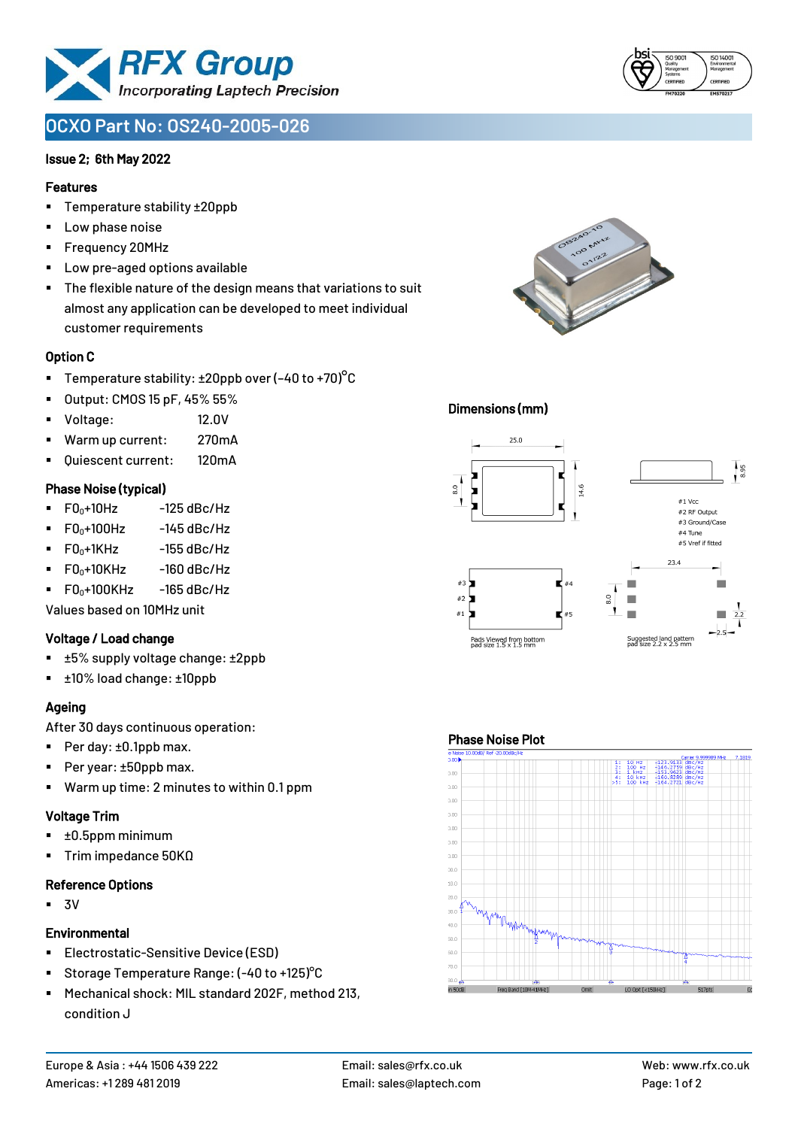

# **OCXO Part No: OS240-2005-026**

### Issue 2; 6th May 2022

### Features

- Temperature stability ±20ppb
- Low phase noise
- Frequency 20MHz
- Low pre-aged options available
- The flexible nature of the design means that variations to suit almost any application can be developed to meet individual customer requirements

### Option C

- **•** Temperature stability:  $\pm 20$ ppb over (-40 to +70)<sup>o</sup>C
- Output: CMOS 15 pF, 45% 55%
- Voltage: 12.0V
- Warm up current: 270mA
- Quiescent current: 120mA

### Phase Noise (typical)

- $\blacksquare$  F0 $\scriptstyle\bullet$ +10Hz -125 dBc/Hz
- $F0_0+100$ Hz  $-145$  dBc/Hz
- $F0_0+1$ KHz  $-155$  dBc/Hz
- $F0_0+10K$ Hz  $-160$  dBc/Hz
- $\blacksquare$  F0 $\scriptstyle\bullet$ +100KHz -165 dBc/Hz

Values based on 10MHz unit

#### Voltage / Load change

- ±5% supply voltage change: ±2ppb
- ±10% load change: ±10ppb

### Ageing

After 30 days continuous operation:

- Per day: ±0.1ppb max.
- Per year: ±50ppb max.
- Warm up time: 2 minutes to within 0.1 ppm

# Voltage Trim

- ±0.5ppm minimum
- Trim impedance 50KΩ

# Reference Options

 $-3V$ 

#### **Environmental**

- **Electrostatic-Sensitive Device (ESD)**
- Storage Temperature Range: (-40 to +125)°C
- Mechanical shock: MIL standard 202F, method 213, condition J



### Dimensions (mm)



### Phase Noise Plot